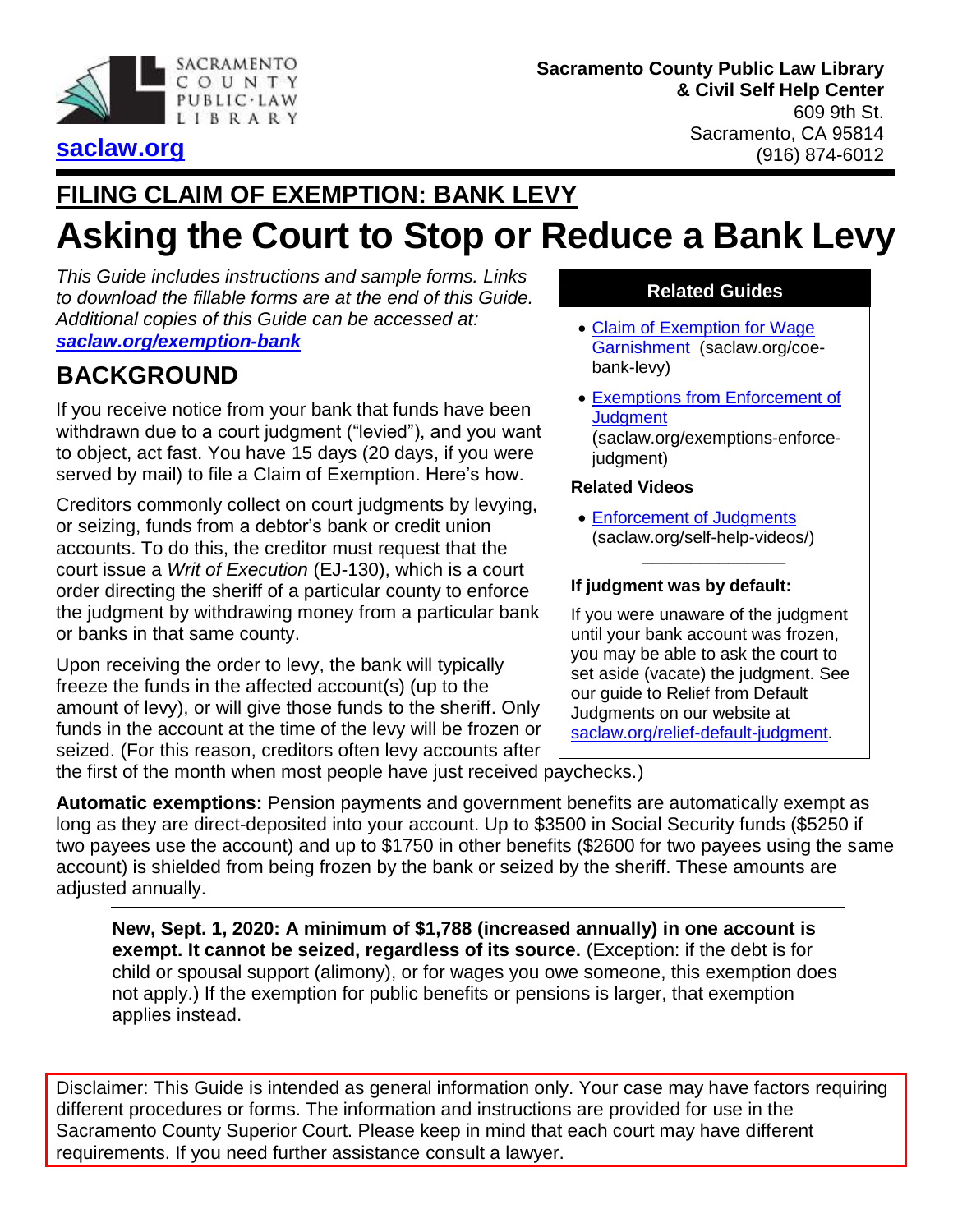

#### **Sacramento County Public Law Library & Civil Self Help Center** 609 9th St. Sacramento, CA 95814 (916) 874-6012

## **[saclaw.org](https://saclaw.org/)**

## **FILING CLAIM OF EXEMPTION: BANK LEVY**

# **Asking the Court to Stop or Reduce a Bank Levy**

*This Guide includes instructions and sample forms. Links to download the fillable forms are at the end of this Guide. Additional copies of this Guide can be accessed at: [saclaw.org/exemption-bank](https://saclaw.org/exemption-bank)*

## **BACKGROUND**

If you receive notice from your bank that funds have been withdrawn due to a court judgment ("levied"), and you want to object, act fast. You have 15 days (20 days, if you were served by mail) to file a Claim of Exemption. Here's how.

Creditors commonly collect on court judgments by levying, or seizing, funds from a debtor's bank or credit union accounts. To do this, the creditor must request that the court issue a *Writ of Execution* (EJ-130), which is a court order directing the sheriff of a particular county to enforce the judgment by withdrawing money from a particular bank or banks in that same county.

Upon receiving the order to levy, the bank will typically freeze the funds in the affected account(s) (up to the amount of levy), or will give those funds to the sheriff. Only funds in the account at the time of the levy will be frozen or seized. (For this reason, creditors often levy accounts after

#### **Related Guides**

- Claim of Exemption for Wage [Garnishment](https://saclaw.org/coe-bank-levy) (saclaw.org/coebank-levy)
- [Exemptions from Enforcement of](https://saclaw.org/exemptions-enforce-judgment)  **[Judgment](https://saclaw.org/exemptions-enforce-judgment)** (saclaw.org/exemptions-enforcejudgment)

#### **Related Videos**

 [Enforcement of Judgments](https://saclaw.org/law-101/self-help-videos/#enforcement) (saclaw.org/self-help-videos/)

**\_\_\_\_\_\_\_\_\_\_\_\_\_\_\_**

#### **If judgment was by default:**

If you were unaware of the judgment until your bank account was frozen, you may be able to ask the court to set aside (vacate) the judgment. See our guide to Relief from Default Judgments on our website at [saclaw.org/relief-default-judgment.](http://www.saclaw.org/relief-default-judgment)

the first of the month when most people have just received paychecks.)

**Automatic exemptions:** Pension payments and government benefits are automatically exempt as long as they are direct-deposited into your account. Up to \$3500 in Social Security funds (\$5250 if two payees use the account) and up to \$1750 in other benefits (\$2600 for two payees using the same account) is shielded from being frozen by the bank or seized by the sheriff. These amounts are adjusted annually.

**New, Sept. 1, 2020: A minimum of \$1,788 (increased annually) in one account is exempt. It cannot be seized, regardless of its source.** (Exception: if the debt is for child or spousal support (alimony), or for wages you owe someone, this exemption does not apply.) If the exemption for public benefits or pensions is larger, that exemption applies instead.

Disclaimer: This Guide is intended as general information only. Your case may have factors requiring different procedures or forms. The information and instructions are provided for use in the Sacramento County Superior Court. Please keep in mind that each court may have different requirements. If you need further assistance consult a lawyer.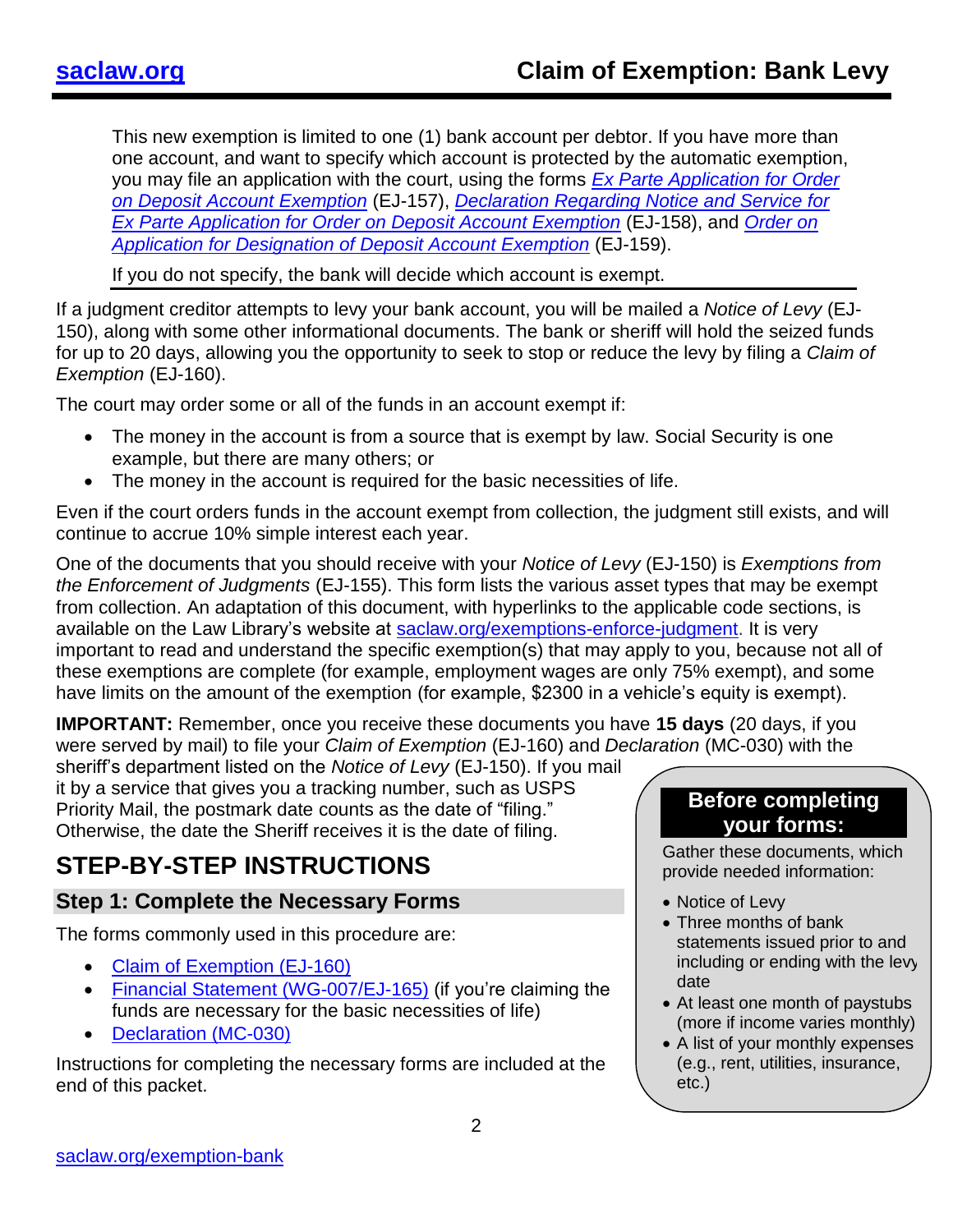This new exemption is limited to one (1) bank account per debtor. If you have more than one account, and want to specify which account is protected by the automatic exemption, you may file an application with the court, using the forms *[Ex Parte Application for Order](https://www.courts.ca.gov/documents/ej157.pdf)  [on Deposit Account Exemption](https://www.courts.ca.gov/documents/ej157.pdf)* (EJ-157), *[Declaration Regarding Notice and Service for](https://www.courts.ca.gov/documents/ej158.pdf)  [Ex Parte Application for Order on Deposit Account Exemption](https://www.courts.ca.gov/documents/ej158.pdf)* (EJ-158), and *[Order on](https://www.courts.ca.gov/documents/ej159.pdf)  [Application for Designation of Deposit Account Exemption](https://www.courts.ca.gov/documents/ej159.pdf)* (EJ-159).

If you do not specify, the bank will decide which account is exempt.

If a judgment creditor attempts to levy your bank account, you will be mailed a *Notice of Levy* (EJ-150), along with some other informational documents. The bank or sheriff will hold the seized funds for up to 20 days, allowing you the opportunity to seek to stop or reduce the levy by filing a *Claim of Exemption* (EJ-160).

The court may order some or all of the funds in an account exempt if:

- The money in the account is from a source that is exempt by law. Social Security is one example, but there are many others; or
- The money in the account is required for the basic necessities of life.

Even if the court orders funds in the account exempt from collection, the judgment still exists, and will continue to accrue 10% simple interest each year.

One of the documents that you should receive with your *Notice of Levy* (EJ-150) is *Exemptions from the Enforcement of Judgments* (EJ-155). This form lists the various asset types that may be exempt from collection. An adaptation of this document, with hyperlinks to the applicable code sections, is available on the Law Library's website at **saclaw.org/exemptions-enforce-judgment**. It is very important to read and understand the specific exemption(s) that may apply to you, because not all of these exemptions are complete (for example, employment wages are only 75% exempt), and some have limits on the amount of the exemption (for example, \$2300 in a vehicle's equity is exempt).

**IMPORTANT:** Remember, once you receive these documents you have **15 days** (20 days, if you were served by mail) to file your *Claim of Exemption* (EJ-160) and *Declaration* (MC-030) with the

sheriff's department listed on the *Notice of Levy* (EJ-150). If you mail it by a service that gives you a tracking number, such as USPS Priority Mail, the postmark date counts as the date of "filing." Otherwise, the date the Sheriff receives it is the date of filing.

## **STEP-BY-STEP INSTRUCTIONS**

#### **Step 1: Complete the Necessary Forms**

The forms commonly used in this procedure are:

- [Claim of Exemption \(EJ-160\)](http://www.courts.ca.gov/documents/ej160.pdf)
- [Financial Statement \(WG-007/EJ-165\)](http://www.courts.ca.gov/documents/ej165.pdf) (if you're claiming the funds are necessary for the basic necessities of life)
- [Declaration \(MC-030\)](http://www.courts.ca.gov/documents/mc030.pdf)

Instructions for completing the necessary forms are included at the end of this packet.

### **Before completing your forms:**

Gather these documents, which provide needed information:

- Notice of Levy
- Three months of bank statements issued prior to and including or ending with the levy date
- At least one month of paystubs (more if income varies monthly)
- A list of your monthly expenses (e.g., rent, utilities, insurance, etc.)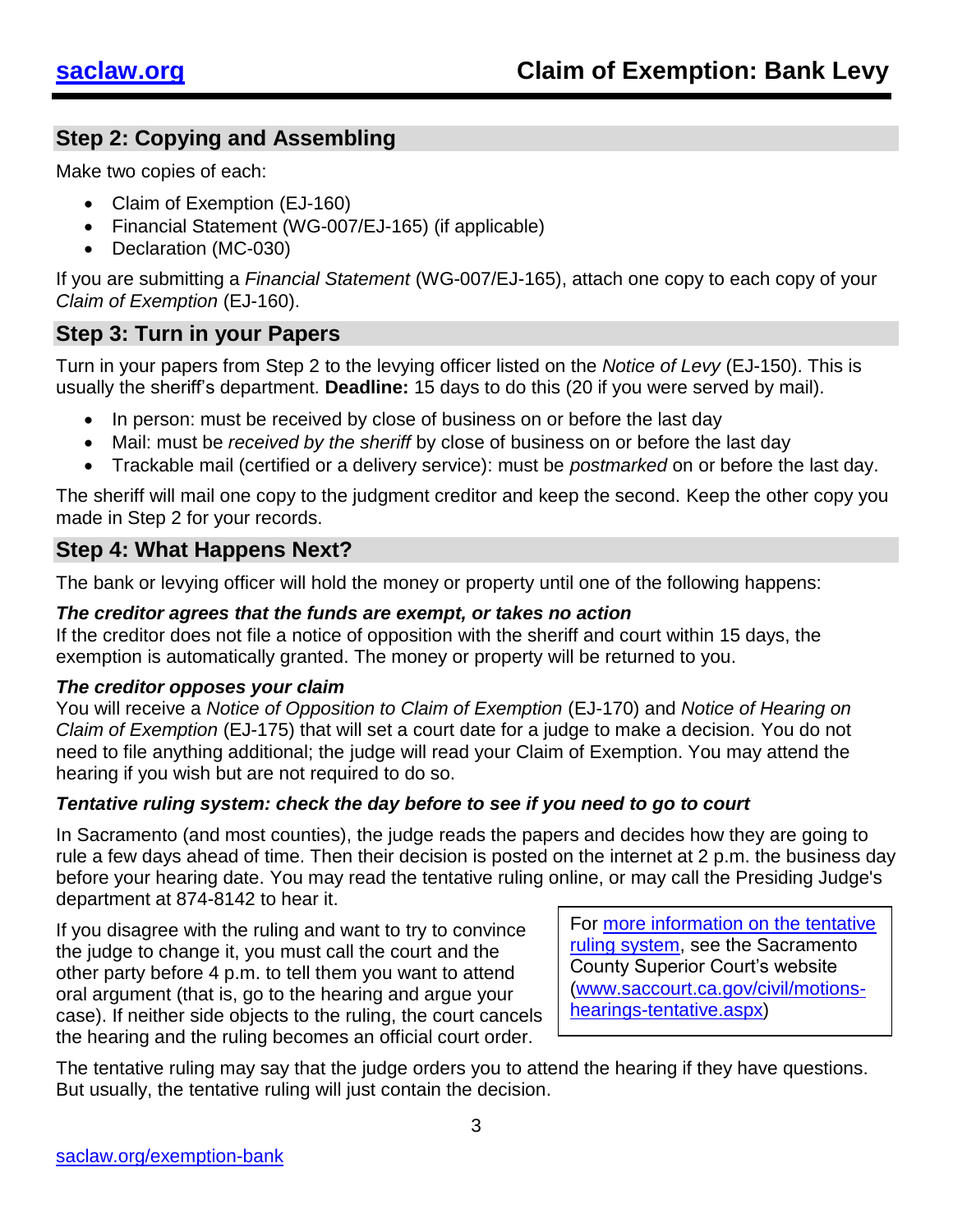### **Step 2: Copying and Assembling**

Make two copies of each:

- Claim of Exemption (EJ-160)
- Financial Statement (WG-007/EJ-165) (if applicable)
- Declaration (MC-030)

If you are submitting a *Financial Statement* (WG-007/EJ-165), attach one copy to each copy of your *Claim of Exemption* (EJ-160).

### **Step 3: Turn in your Papers**

Turn in your papers from Step 2 to the levying officer listed on the *Notice of Levy* (EJ-150). This is usually the sheriff's department. **Deadline:** 15 days to do this (20 if you were served by mail).

- In person: must be received by close of business on or before the last day
- Mail: must be *received by the sheriff* by close of business on or before the last day
- Trackable mail (certified or a delivery service): must be *postmarked* on or before the last day.

The sheriff will mail one copy to the judgment creditor and keep the second. Keep the other copy you made in Step 2 for your records.

### **Step 4: What Happens Next?**

The bank or levying officer will hold the money or property until one of the following happens:

#### *The creditor agrees that the funds are exempt, or takes no action*

If the creditor does not file a notice of opposition with the sheriff and court within 15 days, the exemption is automatically granted. The money or property will be returned to you.

#### *The creditor opposes your claim*

You will receive a *Notice of Opposition to Claim of Exemption* (EJ-170) and *Notice of Hearing on Claim of Exemption* (EJ-175) that will set a court date for a judge to make a decision. You do not need to file anything additional; the judge will read your Claim of Exemption. You may attend the hearing if you wish but are not required to do so.

#### *Tentative ruling system: check the day before to see if you need to go to court*

In Sacramento (and most counties), the judge reads the papers and decides how they are going to rule a few days ahead of time. Then their decision is posted on the internet at 2 p.m. the business day before your hearing date. You may read the tentative ruling online, or may call the Presiding Judge's department at 874-8142 to hear it.

If you disagree with the ruling and want to try to convince the judge to change it, you must call the court and the other party before 4 p.m. to tell them you want to attend oral argument (that is, go to the hearing and argue your case). If neither side objects to the ruling, the court cancels the hearing and the ruling becomes an official court order.

For [more information on the tentative](http://www.saccourt.ca.gov/civil/motions-hearings-tentative.aspx)  [ruling system,](http://www.saccourt.ca.gov/civil/motions-hearings-tentative.aspx) see the Sacramento County Superior Court's website [\(www.saccourt.ca.gov/civil/motions](http://www.saccourt.ca.gov/civil/motions-hearings-tentative.aspx)[hearings-tentative.aspx\)](http://www.saccourt.ca.gov/civil/motions-hearings-tentative.aspx)

The tentative ruling may say that the judge orders you to attend the hearing if they have questions. But usually, the tentative ruling will just contain the decision.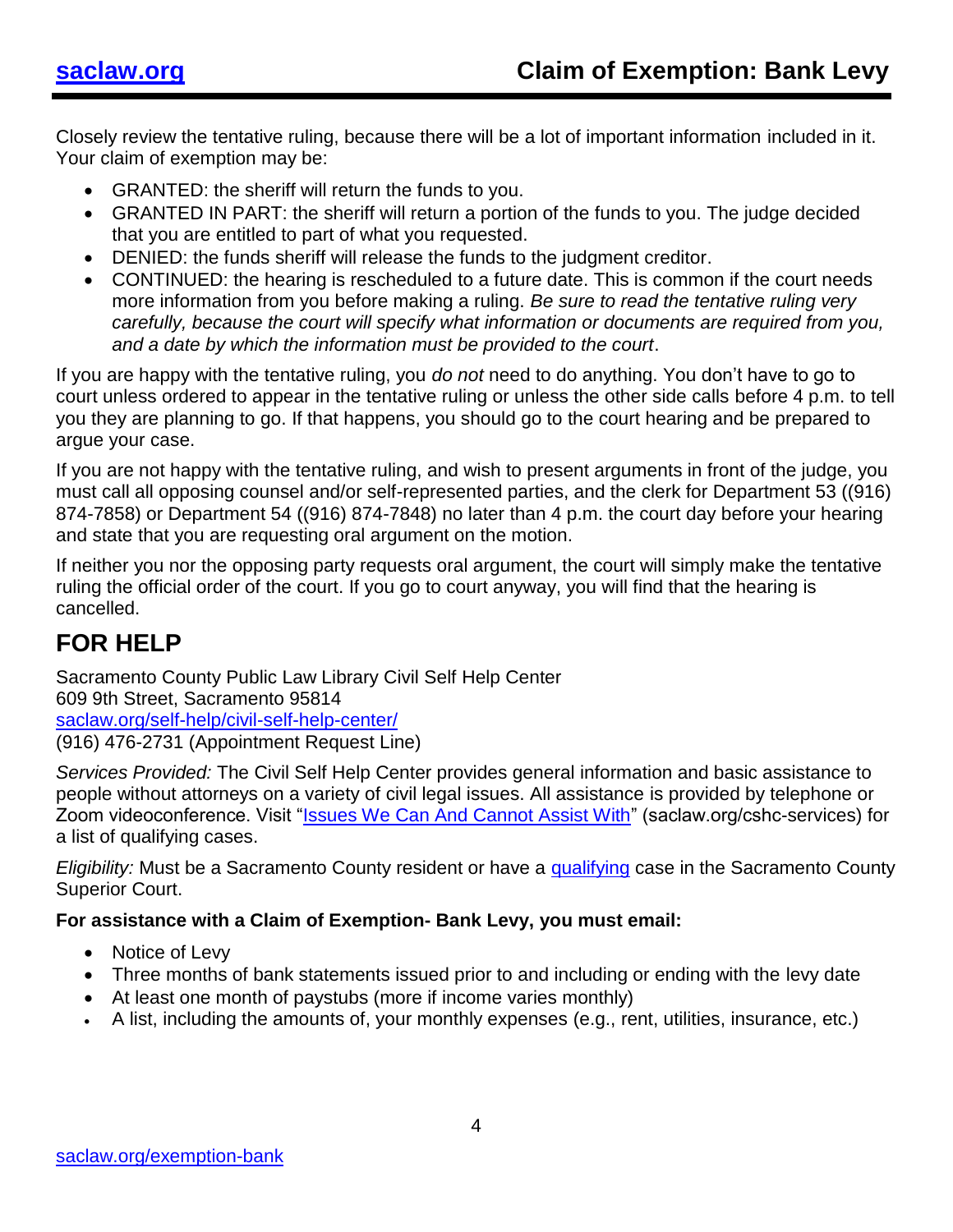Closely review the tentative ruling, because there will be a lot of important information included in it. Your claim of exemption may be:

- GRANTED: the sheriff will return the funds to you.
- GRANTED IN PART: the sheriff will return a portion of the funds to you. The judge decided that you are entitled to part of what you requested.
- DENIED: the funds sheriff will release the funds to the judgment creditor.
- CONTINUED: the hearing is rescheduled to a future date. This is common if the court needs more information from you before making a ruling. *Be sure to read the tentative ruling very carefully, because the court will specify what information or documents are required from you, and a date by which the information must be provided to the court*.

If you are happy with the tentative ruling, you *do not* need to do anything. You don't have to go to court unless ordered to appear in the tentative ruling or unless the other side calls before 4 p.m. to tell you they are planning to go. If that happens, you should go to the court hearing and be prepared to argue your case.

If you are not happy with the tentative ruling, and wish to present arguments in front of the judge, you must call all opposing counsel and/or self-represented parties, and the clerk for Department 53 ((916) 874-7858) or Department 54 ((916) 874-7848) no later than 4 p.m. the court day before your hearing and state that you are requesting oral argument on the motion.

If neither you nor the opposing party requests oral argument, the court will simply make the tentative ruling the official order of the court. If you go to court anyway, you will find that the hearing is cancelled.

## **FOR HELP**

Sacramento County Public Law Library Civil Self Help Center 609 9th Street, Sacramento 95814 [saclaw.org/self-help/civil-self-help-center/](https://saclaw.org/self-help/civil-self-help-center/) (916) 476-2731 (Appointment Request Line)

*Services Provided:* The Civil Self Help Center provides general information and basic assistance to people without attorneys on a variety of civil legal issues. All assistance is provided by telephone or Zoom videoconference. Visit ["Issues We Can And Cannot Assist With"](https://saclaw.org/self-help/civil-self-help-center/cshc-services/) (saclaw.org/cshc-services) for a list of qualifying cases.

*Eligibility:* Must be a Sacramento County resident or have a [qualifying](https://saclaw.org/self-help/civil-self-help-center/cshc-services/) case in the Sacramento County Superior Court.

#### **For assistance with a Claim of Exemption- Bank Levy, you must email:**

- Notice of Levy
- Three months of bank statements issued prior to and including or ending with the levy date
- At least one month of paystubs (more if income varies monthly)
- A list, including the amounts of, your monthly expenses (e.g., rent, utilities, insurance, etc.)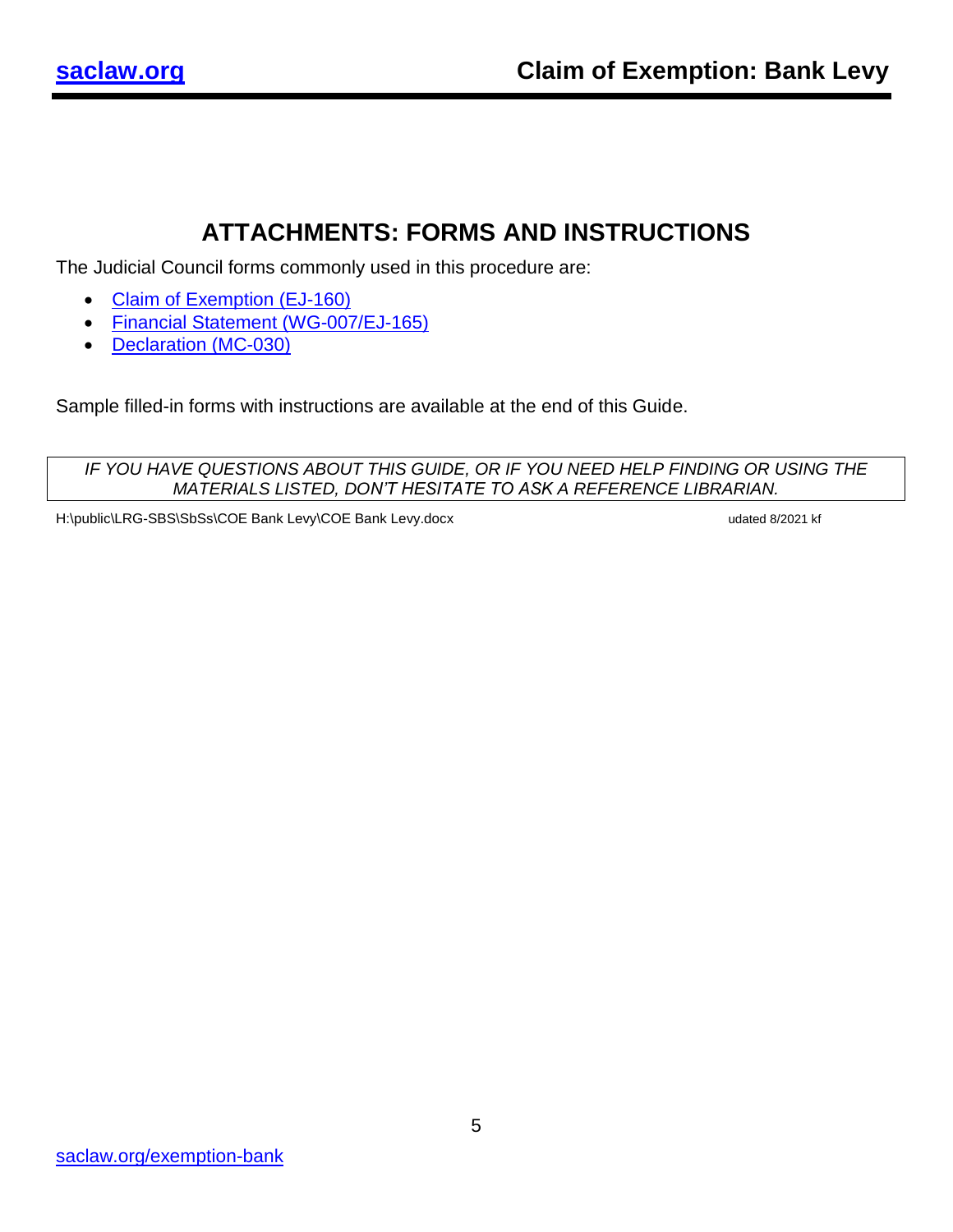## **ATTACHMENTS: FORMS AND INSTRUCTIONS**

The Judicial Council forms commonly used in this procedure are:

- [Claim of Exemption \(EJ-160\)](http://www.courts.ca.gov/documents/ej160.pdf)
- [Financial Statement \(WG-007/EJ-165\)](http://www.courts.ca.gov/documents/ej165.pdf)
- [Declaration \(MC-030\)](http://www.courts.ca.gov/documents/mc030.pdf)

Sample filled-in forms with instructions are available at the end of this Guide.

*IF YOU HAVE QUESTIONS ABOUT THIS GUIDE, OR IF YOU NEED HELP FINDING OR USING THE MATERIALS LISTED, DON'T HESITATE TO ASK A REFERENCE LIBRARIAN.*

H:\public\LRG-SBS\SbSs\COE Bank Levy\COE Bank Levy.docx undated 8/2021 kf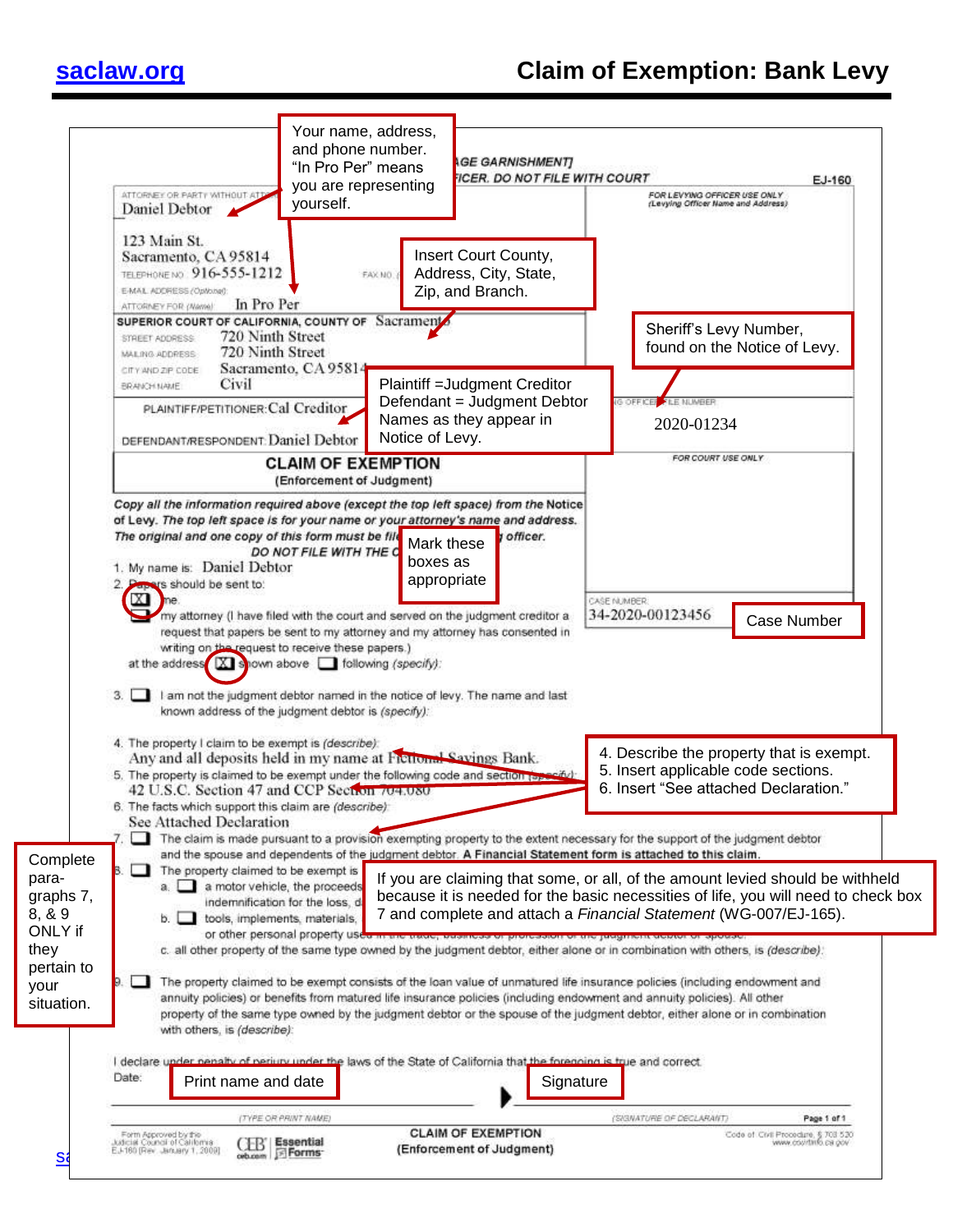| 123 Main St.<br>Insert Court County,<br>Sacramento, CA 95814<br>Address, City, State,<br>TELEPHONE NO. 916-555-1212<br>FAX NO.<br>Zip, and Branch.<br>E-MAIL ADDRESS (Optionel):<br>In Pro Per<br>ATTORNEY FOR (Warrel)<br>SUPERIOR COURT OF CALIFORNIA, COUNTY OF Sacrament<br>Sheriff's Levy Number,<br>720 Ninth Street<br>STREET ADDRESS:<br>found on the Notice of Levy.<br>720 Ninth Street<br>MAILING ADDRESS<br>Sacramento, CA 95814<br>CITY AND ZIP CODE<br>Civil<br>Plaintiff = Judgment Creditor<br>BRANCH NAME<br>Defendant = Judgment Debtor<br><b>IG OFFICER</b><br><b>FILE NUMBER</b><br>PLAINTIFF/PETITIONER: Cal Creditor<br>Names as they appear in<br>2020-01234<br>Notice of Levy.<br>DEFENDANT/RESPONDENT: Daniel Debtor<br>FOR COURT USE ONLY<br><b>CLAIM OF EXEMPTION</b><br>(Enforcement of Judgment)<br>Copy all the information required above (except the top left space) from the Notice<br>of Levy. The top left space is for your name or your attorney's name and address.<br>The original and one copy of this form must be file<br><i>v</i> officer.<br>Mark these<br>DO NOT FILE WITH THE C<br>boxes as<br>1. My name is: Daniel Debtor<br>appropriate<br>2. Papers should be sent to:<br>CASE NUMBER:<br>my attorney (I have filed with the court and served on the judgment creditor a<br>34-2020-00123456<br><b>Case Number</b><br>request that papers be sent to my attorney and my attorney has consented in<br>writing on the request to receive these papers.)<br>at the address $\boxed{\text{X}}$ shown above $\boxed{\phantom{\text{X}}}$ following (specify):<br>$3. \Box$<br>I am not the judgment debtor named in the notice of levy. The name and last<br>known address of the judgment debtor is (specify):<br>4. The property I claim to be exempt is (describe):<br>4. Describe the property that is exempt.<br>Any and all deposits held in my name at Fictional Savings Bank.<br>5. Insert applicable code sections.<br>5. The property is claimed to be exempt under the following code and section represibility<br>6. Insert "See attached Declaration."<br>42 U.S.C. Section 47 and CCP Section 704.080<br>6. The facts which support this claim are (describe):<br>See Attached Declaration<br>The claim is made pursuant to a provision exempting property to the extent necessary for the support of the judgment debtor<br>and the spouse and dependents of the judgment debtor. A Financial Statement form is attached to this claim.<br>Complete<br>The property claimed to be exempt is<br>$\mathbf{u}$<br>В.<br>para-<br>If you are claiming that some, or all, of the amount levied should be withheld<br>a. a motor vehicle, the proceeds<br>because it is needed for the basic necessities of life, you will need to check box<br>graphs 7,<br>indemnification for the loss, d<br>8, & 9<br>7 and complete and attach a Financial Statement (WG-007/EJ-165).<br>b. tools, implements, materials,<br>ONLY if<br>or other personal property used in the trade, traditions or profession or the perginem debtor or<br>they<br>c. all other property of the same type owned by the judgment debtor, either alone or in combination with others, is (describe).<br>pertain to<br>The property claimed to be exempt consists of the loan value of unmatured life insurance policies (including endowment and<br>your<br>annuity policies) or benefits from matured life insurance policies (including endowment and annuity policies). All other<br>situation.<br>property of the same type owned by the judgment debtor or the spouse of the judgment debtor, either alone or in combination<br>with others, is (describe):<br>I declare under nenally of periury under the laws of the State of California that the forenoing is true and correct.<br>Date:<br>Print name and date<br>Signature<br>(SIGNATURE OF DECLARANT)<br>Page 1 of 1<br>(TYPE OR PRINT NAME) | ATTORNEY OR PARTY WITHOUT AT<br>Daniel Debtor | Your name, address,<br>and phone number.<br>"In Pro Per" means<br>you are representing<br>yourself. | <b>AGE GARNISHMENT</b><br><b>FICER. DO NOT FILE WITH COURT</b> | FOR LEVYING OFFICER USE ONLY<br>(Levying Officer Name and Address) | EJ-160 |
|------------------------------------------------------------------------------------------------------------------------------------------------------------------------------------------------------------------------------------------------------------------------------------------------------------------------------------------------------------------------------------------------------------------------------------------------------------------------------------------------------------------------------------------------------------------------------------------------------------------------------------------------------------------------------------------------------------------------------------------------------------------------------------------------------------------------------------------------------------------------------------------------------------------------------------------------------------------------------------------------------------------------------------------------------------------------------------------------------------------------------------------------------------------------------------------------------------------------------------------------------------------------------------------------------------------------------------------------------------------------------------------------------------------------------------------------------------------------------------------------------------------------------------------------------------------------------------------------------------------------------------------------------------------------------------------------------------------------------------------------------------------------------------------------------------------------------------------------------------------------------------------------------------------------------------------------------------------------------------------------------------------------------------------------------------------------------------------------------------------------------------------------------------------------------------------------------------------------------------------------------------------------------------------------------------------------------------------------------------------------------------------------------------------------------------------------------------------------------------------------------------------------------------------------------------------------------------------------------------------------------------------------------------------------------------------------------------------------------------------------------------------------------------------------------------------------------------------------------------------------------------------------------------------------------------------------------------------------------------------------------------------------------------------------------------------------------------------------------------------------------------------------------------------------------------------------------------------------------------------------------------------------------------------------------------------------------------------------------------------------------------------------------------------------------------------------------------------------------------------------------------------------------------------------------------------------------------------------------------------------------------------------------------------------------------------------------------------------------------------------------------------------------------------------------------------------------------------------------------------------------------------------------------------------------------|-----------------------------------------------|-----------------------------------------------------------------------------------------------------|----------------------------------------------------------------|--------------------------------------------------------------------|--------|
|                                                                                                                                                                                                                                                                                                                                                                                                                                                                                                                                                                                                                                                                                                                                                                                                                                                                                                                                                                                                                                                                                                                                                                                                                                                                                                                                                                                                                                                                                                                                                                                                                                                                                                                                                                                                                                                                                                                                                                                                                                                                                                                                                                                                                                                                                                                                                                                                                                                                                                                                                                                                                                                                                                                                                                                                                                                                                                                                                                                                                                                                                                                                                                                                                                                                                                                                                                                                                                                                                                                                                                                                                                                                                                                                                                                                                                                                                                                                    |                                               |                                                                                                     |                                                                |                                                                    |        |
|                                                                                                                                                                                                                                                                                                                                                                                                                                                                                                                                                                                                                                                                                                                                                                                                                                                                                                                                                                                                                                                                                                                                                                                                                                                                                                                                                                                                                                                                                                                                                                                                                                                                                                                                                                                                                                                                                                                                                                                                                                                                                                                                                                                                                                                                                                                                                                                                                                                                                                                                                                                                                                                                                                                                                                                                                                                                                                                                                                                                                                                                                                                                                                                                                                                                                                                                                                                                                                                                                                                                                                                                                                                                                                                                                                                                                                                                                                                                    |                                               |                                                                                                     |                                                                |                                                                    |        |
|                                                                                                                                                                                                                                                                                                                                                                                                                                                                                                                                                                                                                                                                                                                                                                                                                                                                                                                                                                                                                                                                                                                                                                                                                                                                                                                                                                                                                                                                                                                                                                                                                                                                                                                                                                                                                                                                                                                                                                                                                                                                                                                                                                                                                                                                                                                                                                                                                                                                                                                                                                                                                                                                                                                                                                                                                                                                                                                                                                                                                                                                                                                                                                                                                                                                                                                                                                                                                                                                                                                                                                                                                                                                                                                                                                                                                                                                                                                                    |                                               |                                                                                                     |                                                                |                                                                    |        |
|                                                                                                                                                                                                                                                                                                                                                                                                                                                                                                                                                                                                                                                                                                                                                                                                                                                                                                                                                                                                                                                                                                                                                                                                                                                                                                                                                                                                                                                                                                                                                                                                                                                                                                                                                                                                                                                                                                                                                                                                                                                                                                                                                                                                                                                                                                                                                                                                                                                                                                                                                                                                                                                                                                                                                                                                                                                                                                                                                                                                                                                                                                                                                                                                                                                                                                                                                                                                                                                                                                                                                                                                                                                                                                                                                                                                                                                                                                                                    |                                               |                                                                                                     |                                                                |                                                                    |        |
|                                                                                                                                                                                                                                                                                                                                                                                                                                                                                                                                                                                                                                                                                                                                                                                                                                                                                                                                                                                                                                                                                                                                                                                                                                                                                                                                                                                                                                                                                                                                                                                                                                                                                                                                                                                                                                                                                                                                                                                                                                                                                                                                                                                                                                                                                                                                                                                                                                                                                                                                                                                                                                                                                                                                                                                                                                                                                                                                                                                                                                                                                                                                                                                                                                                                                                                                                                                                                                                                                                                                                                                                                                                                                                                                                                                                                                                                                                                                    |                                               |                                                                                                     |                                                                |                                                                    |        |
|                                                                                                                                                                                                                                                                                                                                                                                                                                                                                                                                                                                                                                                                                                                                                                                                                                                                                                                                                                                                                                                                                                                                                                                                                                                                                                                                                                                                                                                                                                                                                                                                                                                                                                                                                                                                                                                                                                                                                                                                                                                                                                                                                                                                                                                                                                                                                                                                                                                                                                                                                                                                                                                                                                                                                                                                                                                                                                                                                                                                                                                                                                                                                                                                                                                                                                                                                                                                                                                                                                                                                                                                                                                                                                                                                                                                                                                                                                                                    |                                               |                                                                                                     |                                                                |                                                                    |        |
|                                                                                                                                                                                                                                                                                                                                                                                                                                                                                                                                                                                                                                                                                                                                                                                                                                                                                                                                                                                                                                                                                                                                                                                                                                                                                                                                                                                                                                                                                                                                                                                                                                                                                                                                                                                                                                                                                                                                                                                                                                                                                                                                                                                                                                                                                                                                                                                                                                                                                                                                                                                                                                                                                                                                                                                                                                                                                                                                                                                                                                                                                                                                                                                                                                                                                                                                                                                                                                                                                                                                                                                                                                                                                                                                                                                                                                                                                                                                    |                                               |                                                                                                     |                                                                |                                                                    |        |
|                                                                                                                                                                                                                                                                                                                                                                                                                                                                                                                                                                                                                                                                                                                                                                                                                                                                                                                                                                                                                                                                                                                                                                                                                                                                                                                                                                                                                                                                                                                                                                                                                                                                                                                                                                                                                                                                                                                                                                                                                                                                                                                                                                                                                                                                                                                                                                                                                                                                                                                                                                                                                                                                                                                                                                                                                                                                                                                                                                                                                                                                                                                                                                                                                                                                                                                                                                                                                                                                                                                                                                                                                                                                                                                                                                                                                                                                                                                                    |                                               |                                                                                                     |                                                                |                                                                    |        |
|                                                                                                                                                                                                                                                                                                                                                                                                                                                                                                                                                                                                                                                                                                                                                                                                                                                                                                                                                                                                                                                                                                                                                                                                                                                                                                                                                                                                                                                                                                                                                                                                                                                                                                                                                                                                                                                                                                                                                                                                                                                                                                                                                                                                                                                                                                                                                                                                                                                                                                                                                                                                                                                                                                                                                                                                                                                                                                                                                                                                                                                                                                                                                                                                                                                                                                                                                                                                                                                                                                                                                                                                                                                                                                                                                                                                                                                                                                                                    |                                               |                                                                                                     |                                                                |                                                                    |        |
|                                                                                                                                                                                                                                                                                                                                                                                                                                                                                                                                                                                                                                                                                                                                                                                                                                                                                                                                                                                                                                                                                                                                                                                                                                                                                                                                                                                                                                                                                                                                                                                                                                                                                                                                                                                                                                                                                                                                                                                                                                                                                                                                                                                                                                                                                                                                                                                                                                                                                                                                                                                                                                                                                                                                                                                                                                                                                                                                                                                                                                                                                                                                                                                                                                                                                                                                                                                                                                                                                                                                                                                                                                                                                                                                                                                                                                                                                                                                    |                                               |                                                                                                     |                                                                |                                                                    |        |
| <b>CLAIM OF EXEMPTION</b><br>Form Approved by the<br>Code of Civil Procedure, § 703 520                                                                                                                                                                                                                                                                                                                                                                                                                                                                                                                                                                                                                                                                                                                                                                                                                                                                                                                                                                                                                                                                                                                                                                                                                                                                                                                                                                                                                                                                                                                                                                                                                                                                                                                                                                                                                                                                                                                                                                                                                                                                                                                                                                                                                                                                                                                                                                                                                                                                                                                                                                                                                                                                                                                                                                                                                                                                                                                                                                                                                                                                                                                                                                                                                                                                                                                                                                                                                                                                                                                                                                                                                                                                                                                                                                                                                                            |                                               |                                                                                                     |                                                                |                                                                    |        |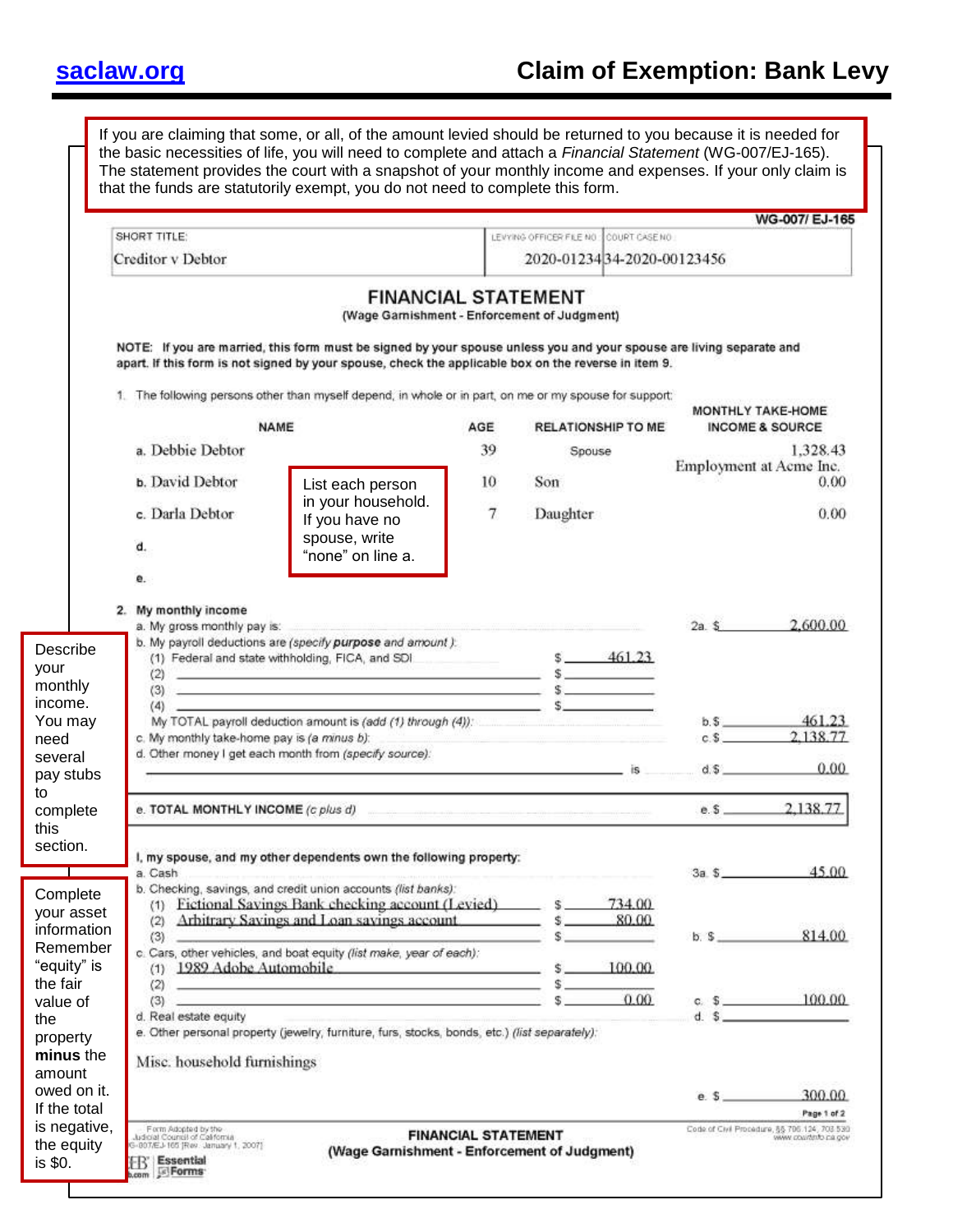## **[saclaw.org](https://saclaw.org/) Claim of Exemption: Bank Levy**

|                                                                  |                                                                                                                                                | If you are claiming that some, or all, of the amount levied should be returned to you because it is needed for<br>the basic necessities of life, you will need to complete and attach a Financial Statement (WG-007/EJ-165).<br>The statement provides the court with a snapshot of your monthly income and expenses. If your only claim is<br>that the funds are statutorily exempt, you do not need to complete this form.                                                                                                                                                                                                      |                            |                                                                                                                                                                                                                                                     |          |                                                                      |
|------------------------------------------------------------------|------------------------------------------------------------------------------------------------------------------------------------------------|-----------------------------------------------------------------------------------------------------------------------------------------------------------------------------------------------------------------------------------------------------------------------------------------------------------------------------------------------------------------------------------------------------------------------------------------------------------------------------------------------------------------------------------------------------------------------------------------------------------------------------------|----------------------------|-----------------------------------------------------------------------------------------------------------------------------------------------------------------------------------------------------------------------------------------------------|----------|----------------------------------------------------------------------|
|                                                                  | SHORT TITLE:                                                                                                                                   |                                                                                                                                                                                                                                                                                                                                                                                                                                                                                                                                                                                                                                   |                            | LEVYING OFFICER FILE NO COURT CASE NO                                                                                                                                                                                                               |          | WG-007/ EJ-165                                                       |
|                                                                  | Creditor v Debtor                                                                                                                              |                                                                                                                                                                                                                                                                                                                                                                                                                                                                                                                                                                                                                                   |                            | 2020-0123434-2020-00123456                                                                                                                                                                                                                          |          |                                                                      |
|                                                                  |                                                                                                                                                | <b>FINANCIAL STATEMENT</b><br>(Wage Garnishment - Enforcement of Judgment)<br>NOTE: If you are married, this form must be signed by your spouse unless you and your spouse are living separate and<br>apart. If this form is not signed by your spouse, check the applicable box on the reverse in item 9.                                                                                                                                                                                                                                                                                                                        |                            |                                                                                                                                                                                                                                                     |          |                                                                      |
|                                                                  |                                                                                                                                                | 1. The following persons other than myself depend, in whole or in part, on me or my spouse for support:                                                                                                                                                                                                                                                                                                                                                                                                                                                                                                                           |                            |                                                                                                                                                                                                                                                     |          |                                                                      |
|                                                                  |                                                                                                                                                | NAME                                                                                                                                                                                                                                                                                                                                                                                                                                                                                                                                                                                                                              | AGE                        | <b>RELATIONSHIP TO ME</b>                                                                                                                                                                                                                           |          | MONTHLY TAKE-HOME<br><b>INCOME &amp; SOURCE</b>                      |
|                                                                  | a. Debbie Debtor<br><b>b.</b> David Debtor                                                                                                     |                                                                                                                                                                                                                                                                                                                                                                                                                                                                                                                                                                                                                                   | 39<br>10                   | Spouse<br>Son                                                                                                                                                                                                                                       |          | 1.328.43<br>Employment at Acme Inc.<br>0.00                          |
|                                                                  | c. Darla Debtor<br>d.                                                                                                                          | List each person<br>in your household.<br>If you have no<br>spouse, write<br>"none" on line a.                                                                                                                                                                                                                                                                                                                                                                                                                                                                                                                                    | $\overline{7}$             | Daughter                                                                                                                                                                                                                                            |          | 0.00                                                                 |
| Describe<br>your<br>monthly<br>income.<br>You may<br>need        | 2. My monthly income<br>a. My gross monthly pay is:<br>(2)<br>(4)<br>c. My monthly take-home pay is (a minus b):                               | b. My payroll deductions are (specify purpose and amount).<br>(1) Federal and state withholding, FICA, and SDI.<br>a partie de la producción de la provincia de la construcción de la construcción de la componentación de la comp<br>Componentación<br>$\overline{a}$ (3) and $\overline{a}$ (3) and $\overline{a}$ (3) and $\overline{a}$ (3) and $\overline{a}$ (3) and $\overline{a}$ (3) and $\overline{a}$ (3) and $\overline{a}$ (3) and $\overline{a}$ (3) and $\overline{a}$ (3) and $\overline{a}$ (3) and $\overline{a}$ (3) and $\overline{a}$ (3) and<br>My TOTAL payroll deduction amount is (add (1) through (4)): |                            | <u> 1988 - An Aonaichte ann an Aonaichte ann an Aonaichte ann an Aonaichte ann an Aonaichte ann an Aonaichte ann an Aonaichte ann an Aonaichte ann an Aonaichte ann an Aonaichte ann an Aonaichte ann an Aonaichte ann an Aonaic</u><br>$$ -461.23$ | $2a.$ \$ | 2.600.00<br>$b.5$ 461.23<br>$c$ \$ 2.138.77                          |
| several<br>pay stubs                                             |                                                                                                                                                | d. Other money I get each month from (specify source):                                                                                                                                                                                                                                                                                                                                                                                                                                                                                                                                                                            |                            | $-$ is                                                                                                                                                                                                                                              | d.5      | 0.00                                                                 |
| to<br>complete<br>this                                           | e. TOTAL MONTHLY INCOME (c plus d)                                                                                                             |                                                                                                                                                                                                                                                                                                                                                                                                                                                                                                                                                                                                                                   |                            |                                                                                                                                                                                                                                                     | e.5      | 2,138.77                                                             |
| section.                                                         | a. Cash                                                                                                                                        | I, my spouse, and my other dependents own the following property:<br>b. Checking, savings, and credit union accounts (list banks):                                                                                                                                                                                                                                                                                                                                                                                                                                                                                                |                            |                                                                                                                                                                                                                                                     | $3a$ $s$ | 45.00                                                                |
| Complete<br>your asset<br>information<br>Remember<br>"equity" is | (2)<br>(3)<br>(1)                                                                                                                              | (1) Fictional Savings Bank checking account (Levied)<br>Arbitrary Savings and Loan savings account<br>c. Cars, other vehicles, and boat equity (list make, year of each);<br>1989 Adobe Automobile                                                                                                                                                                                                                                                                                                                                                                                                                                |                            | 734.00<br>s.<br>80.00<br>\$<br>s<br>100.00<br>\$                                                                                                                                                                                                    | b. S     | 814.00                                                               |
| the fair<br>value of<br>the<br>property<br>minus the             | (2)<br>(3)<br>d. Real estate equity                                                                                                            | <u> Andreas Andreas Andreas Andreas Andreas Andreas Andreas Andreas Andreas Andreas Andreas Andreas Andreas Andreas</u><br>3. (1) 2014년 1월 20일 : 1월 20일 : 1월 20일 : 1월 20일 : 1월 20일 : 1월 20일 : 1월 20일 : 1월 20일 : 1월 20일 : 1월 20일<br>e. Other personal property (jewelry, furniture, furs, stocks, bonds, etc.) (list separately):                                                                                                                                                                                                                                                                                                  |                            | 0.00                                                                                                                                                                                                                                                | d. S     | c. $\frac{2}{3}$ 100.00                                              |
| amount<br>owed on it.<br>If the total                            | Misc. household furnishings                                                                                                                    |                                                                                                                                                                                                                                                                                                                                                                                                                                                                                                                                                                                                                                   |                            |                                                                                                                                                                                                                                                     | $e.$ \$  | 300.00<br>Page 1 of 2                                                |
| is negative,<br>the equity<br>is \$0.                            | Form Adopted by the<br><b>Judicial Council of California</b><br>G-807/EJ-165 [Rev. January 1, 2007]<br><b>Essential</b><br><b>kcom E</b> Forms |                                                                                                                                                                                                                                                                                                                                                                                                                                                                                                                                                                                                                                   | <b>FINANCIAL STATEMENT</b> | (Wage Garnishment - Enforcement of Judgment)                                                                                                                                                                                                        |          | Code of Civil Procedure, §§ 706.124, 703.530<br>www.countinto.ca.gov |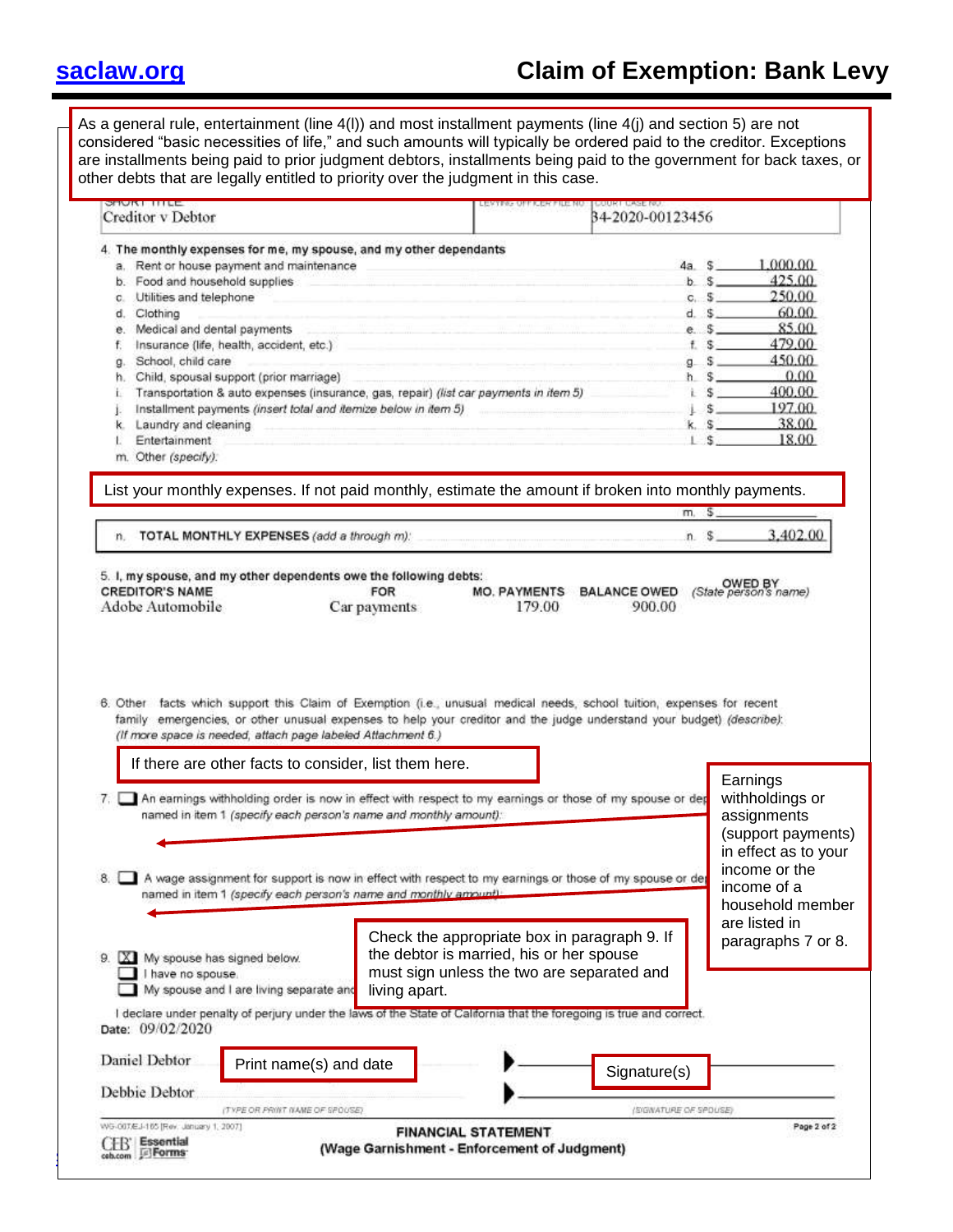## **[saclaw.org](https://saclaw.org/) Claim of Exemption: Bank Levy**

As a general rule, entertainment (line 4(l)) and most installment payments (line 4(j) and section 5) are not considered "basic necessities of life," and such amounts will typically be ordered paid to the creditor. Exceptions are installments being paid to prior judgment debtors, installments being paid to the government for back taxes, or other debts that are legally entitled to priority over the judgment in this case.

|    | Creditor v Debtor                                                                                                                                                                     | 34-2020-00123456      |                                     |
|----|---------------------------------------------------------------------------------------------------------------------------------------------------------------------------------------|-----------------------|-------------------------------------|
|    | 4. The monthly expenses for me, my spouse, and my other dependants                                                                                                                    |                       |                                     |
|    | a. Rent or house payment and maintenance                                                                                                                                              | $4a \quad S$          | 1.000.00                            |
|    | b. Food and household supplies                                                                                                                                                        | $b$ $s$               | 425.00                              |
| с. | Utilities and telephone<br>the state of the control of the control of the control of the control of the control of the control of the control of                                      | c. S                  | 250.00                              |
| d. | Clothing                                                                                                                                                                              | d. S                  | 60.00                               |
|    | with the company of the company and the company of the company of the company of the company of the company of<br>e. Medical and dental payments                                      | e.5                   | 85.00                               |
| f. | Insurance (life, health, accident, etc.)                                                                                                                                              | $E$ S                 | 479.00                              |
| g. | School, child care                                                                                                                                                                    | 9S                    | 450.00                              |
| h. | Child, spousal support (prior marriage)                                                                                                                                               | s.<br>h.              | 0.00<br>400.00                      |
| İ. | Transportation & auto expenses (insurance, gas, repair) (list car payments in item 5)<br>Installment payments (insert total and itemize below in item 5)                              | s<br>业<br>s.          | 197.00                              |
| k. | Laundry and cleaning                                                                                                                                                                  | k.                    | 38.00                               |
|    | Entertainment                                                                                                                                                                         |                       | 18.00                               |
|    | m. Other (specify):                                                                                                                                                                   |                       |                                     |
|    | List your monthly expenses. If not paid monthly, estimate the amount if broken into monthly payments.                                                                                 |                       |                                     |
|    |                                                                                                                                                                                       | m <sub>1</sub>        |                                     |
|    | n. TOTAL MONTHLY EXPENSES (add a through m):                                                                                                                                          | $n.$ \$               | 3,402.00                            |
|    | 6. Other facts which support this Claim of Exemption (i.e., unusual medical needs, school tuition, expenses for recent                                                                |                       |                                     |
|    | family emergencies, or other unusual expenses to help your creditor and the judge understand your budget) (describe):<br>(If more space is needed, attach page labeled Attachment 6.) |                       |                                     |
|    | If there are other facts to consider, list them here.                                                                                                                                 |                       | Earnings                            |
|    | 7. An earnings withholding order is now in effect with respect to my earnings or those of my spouse or dep                                                                            |                       | withholdings or                     |
|    | named in item 1 (specify each person's name and monthly amount):                                                                                                                      |                       | assignments                         |
|    |                                                                                                                                                                                       |                       | (support payments)                  |
|    |                                                                                                                                                                                       |                       | in effect as to your                |
| 8. | A wage assignment for support is now in effect with respect to my earnings or those of my spouse or de                                                                                |                       | income or the                       |
|    | named in item 1 (specify each person's name and monthly amount).                                                                                                                      |                       | income of a                         |
|    |                                                                                                                                                                                       |                       | household member                    |
| 9. | Check the appropriate box in paragraph 9. If<br>the debtor is married, his or her spouse<br>X My spouse has signed below.                                                             |                       | are listed in<br>paragraphs 7 or 8. |
|    | must sign unless the two are separated and<br>have no spouse.                                                                                                                         |                       |                                     |
|    | My spouse and I are living separate and<br>living apart.                                                                                                                              |                       |                                     |
|    | I declare under penalty of perjury under the laws of the State of California that the foregoing is true and correct.<br>Date: 09/02/2020                                              |                       |                                     |
|    | Daniel Debtor<br>Print name(s) and date                                                                                                                                               |                       |                                     |
|    |                                                                                                                                                                                       | Signature(s)          |                                     |
|    | Debbie Debtor<br>(TYPE OR PRINT NAME OF SPOUSE)                                                                                                                                       | (SIGNATURE OF SPOUSE) |                                     |